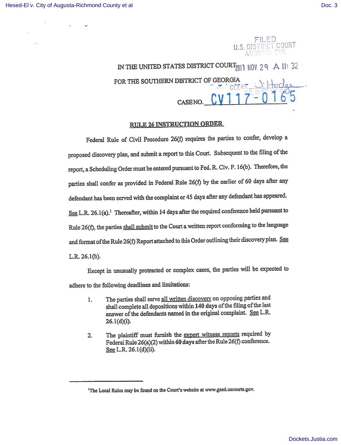#### FILED U.S. DISTRICT COURT IGUSTA DIV.

IN THE UNITED STATES DISTRICT COURT<sub>7011</sub> NOV 29 A 11: 32 FOR THE SOUTHERN DISTRICT OF GEORGIA CASENO. CV 1 1 7 - 0 1 6 5

### RULE 26 INSTRUCTION ORDER

Federal Rule of Civil Procedure 26(f) requires the parties to confer, develop a proposed discovery plan, and submit a report to this Court. Subsequent to the filing of the report, a Scheduling Order must be entered pursuant to Fed. R. Civ. P. 16(b). Therefore, the parties shall confer as provided in Federal Rule 26(f) by the earlier of 60 days after any defendant has been served with the complaint or 45 days after any defendant has appeared. See L.R. 26.1(a).<sup>1</sup> Thereafter, within 14 days after the required conference held pursuant to Rule 26(f), the parties shall submit to the Court a written report conforming to the language and format of the Rule 26(f) Report attached to this Order outlining their discovery plan. See L.R. 26.1(b).

Except in unusually protracted or complex cases, the parties will be expected to adhere to the following deadlines and limitations:

- 1. The parties shall serve all written discovery on opposing parties and shall complete all depositions within 140 days of the filing of the last answer of the defendants named in the original complaint. See L.R 26.1(d)(i).
- 2. The plaintiff must furnish the expert witness reports required by Federal Rule 26(a)(2) within 60 days after the Rule 26(f) conference. See L.R. 26.1(d)(ii).

<sup>&</sup>lt;sup>1</sup>The Local Rules may be found on the Court's website at www.gasd.uscourts.gov.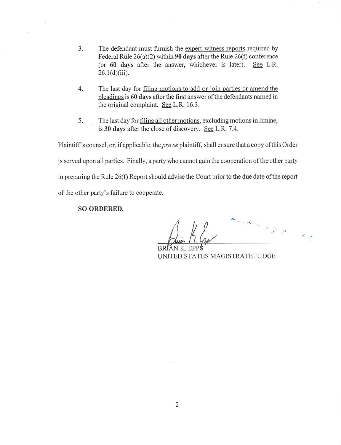- 3. The defendant must furnish the expert witness reports required by Federal Rule 26(a)(2) within 90 days after the Rule 26(f) conference (or 60 days after the answer, whichever is later). See L.R.  $26.1(d)(iii)$ .
- 4. The last day for filing motions to add or join parties or amend the pleadings is 60 days after the first answer of the defendants named in the original complaint. See L.R. 16.3.
- . 5. The last day for filing all other motions, excluding motions in limine, is 30 days after the close of discovery. See L.R. 7.4.

Plaintiff s counsel, or, if applicable, the pro se plaintiff, shall ensure that a copy of this Order is served upon all parties. Finally, a party who cannot gain the cooperation of the other party in preparing the Rule 26(f) Report should advise the Court prior to the due date of the report of the other party's failure to cooperate.

#### SO ORDERED.

**SALES** 

BRÍAN K. EPP**i** UNITED STATES MAGISTRATE JUDGE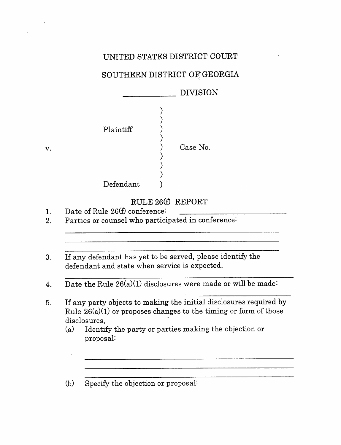## UNITED STATES DISTRICT COURT

# SOUTHERN DISTRICT OF GEORGIA

|           | <b>DIVISION</b> |
|-----------|-----------------|
| Plaintiff | Case No.        |
| Defendant |                 |

## RULE 26(f) REPORT

1. Date of Rule 26(f) conference:

V.

- 2. Parties or counsel who participated in conference:
- 3. If any defendant has yet to be served, please identify the defendant and state when service is expected.
- 4. Date the Rule  $26(a)(1)$  disclosures were made or will be made:
- If any party objects to making the initial disclosures required by  $5<sub>1</sub>$ Rule  $26(a)(1)$  or proposes changes to the timing or form of those disclosures,
	- (a) Identify the party or parties making the objection or proposal:

<u> 1980 - Jan Barnett, fransk politiker (d. 1980)</u>

(b) Specify the objection or proposal: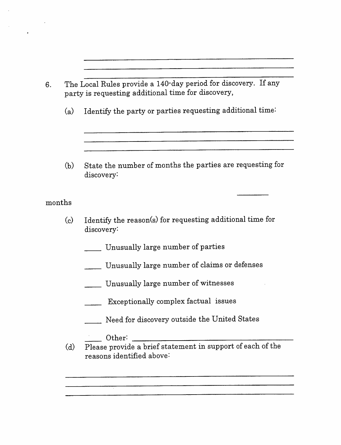|          | The Local Rules provide a 140-day period for discovery. If any<br>party is requesting additional time for discovery, |  |  |
|----------|----------------------------------------------------------------------------------------------------------------------|--|--|
| (a)      | Identify the party or parties requesting additional time:                                                            |  |  |
|          |                                                                                                                      |  |  |
| (b)      | State the number of months the parties are requesting for<br>discovery:                                              |  |  |
| months   |                                                                                                                      |  |  |
| $\rm(c)$ | Identify the reason(s) for requesting additional time for<br>discovery:                                              |  |  |
|          | Unusually large number of parties                                                                                    |  |  |
|          | Unusually large number of claims or defenses                                                                         |  |  |
|          | Unusually large number of witnesses                                                                                  |  |  |
|          | Exceptionally complex factual issues                                                                                 |  |  |
|          | Need for discovery outside the United States                                                                         |  |  |
|          | Other:                                                                                                               |  |  |
| (d)      | Please provide a brief statement in support of each of the<br>reasons identified above:                              |  |  |
|          |                                                                                                                      |  |  |

 $\sim$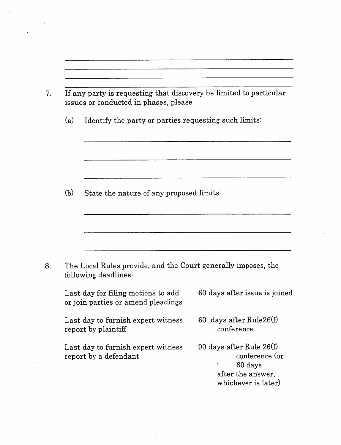|     | If any party is requesting that discovery be limited to particular<br>issues or conducted in phases, please |                                       |  |
|-----|-------------------------------------------------------------------------------------------------------------|---------------------------------------|--|
| (a) | Identify the party or parties requesting such limits:                                                       |                                       |  |
|     |                                                                                                             |                                       |  |
| (b) | State the nature of any proposed limits:                                                                    |                                       |  |
|     |                                                                                                             |                                       |  |
|     | The Local Rules provide, and the Court generally imposes, the<br>following deadlines:                       |                                       |  |
|     | Last day for filing motions to add                                                                          | 60 days after issue is joined         |  |
|     | or join parties or amend pleadings                                                                          |                                       |  |
|     | Last day to furnish expert witness<br>report by plaintiff                                                   | 60 days after Rule26(f)<br>conference |  |

 $\bar{\phantom{a}}$  .

 $\frac{1}{2} \left( \frac{1}{2} \right)^2$ 

 $\sim 10^{-1}$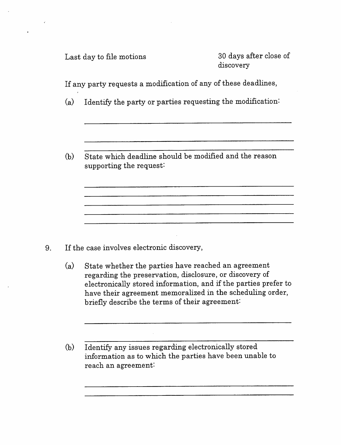Last day to file motions 30 days after close of

discovery

If any party requests a modification of any of these deadlines,

- (a) Identify the party or parties requesting the modification:
- (b) State which deadline should be modified and the reason supporting the request:

<u> 2000 - Jan Samuel Barbara, margaret eta idazlea (h. 1888).</u>

- If the case involves electronic discovery, 9.
	- (a) State whether the parties have reached an agreement regarding the preservation, disclosure, or discovery of electronically stored information, and if the parties prefer to have their agreement memoralized in the scheduling order, briefly describe the terms of their agreement:
	- (b) Identify any issues regarding electronically stored information as to which the parties have been unable to reach an agreement: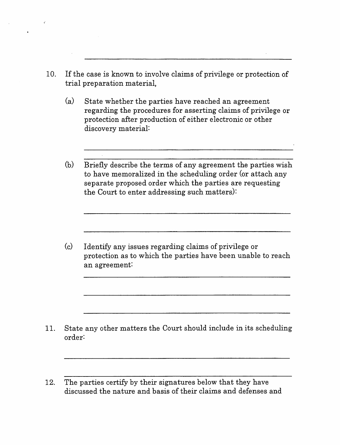- 10. If the case is known to involve claims of privilege or protection of trial preparation material,
	- (a) State whether the parties have reached an agreement regarding the procedures for asserting claims of privilege or protection after production of either electronic or other discovery material:
	- (b) Briefly describe the terms of any agreement the parties wish to have memoralized in the scheduling order (or attach any separate proposed order which the parties are requesting the Court to enter addressing such matters):

(c) Identify any issues regarding claims of privilege or protection as to which the parties have been unable to reach an agreement:

- 11. State any other matters the Court should include in its scheduling order:
- 12. The parties certify by their signatures below that they have discussed the nature and basis of their claims and defenses and